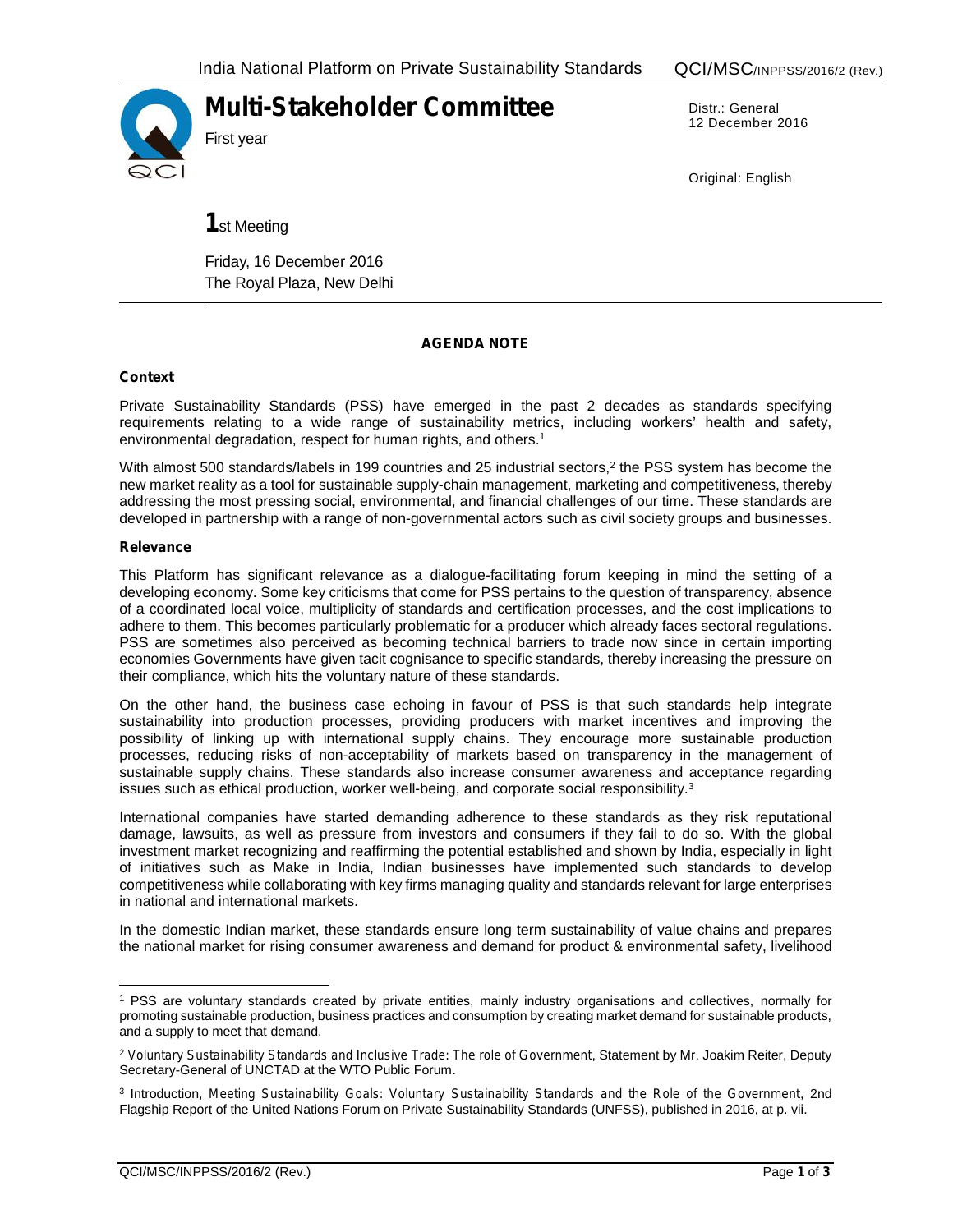

**Multi-Stakeholder Committee**

Distr.: General 12 December 2016

Original: English

**1**st Meeting

Friday, 16 December 2016 The Royal Plaza, New Delhi

# **AGENDA NOTE**

## **Context**

Private Sustainability Standards (PSS) have emerged in the past 2 decades as standards specifying requirements relating to a wide range of sustainability metrics, including workers' health and safety, environmental degradation, respect for human rights, and others.<sup>1</sup>

With almost 500 standards/labels in 199 countries and 25 industrial sectors,<sup>2</sup> the PSS system has become the new market reality as a tool for sustainable supply-chain management, marketing and competitiveness, thereby addressing the most pressing social, environmental, and financial challenges of our time. These standards are developed in partnership with a range of non-governmental actors such as civil society groups and businesses.

### **Relevance**

This Platform has significant relevance as a dialogue-facilitating forum keeping in mind the setting of a developing economy. Some key criticisms that come for PSS pertains to the question of transparency, absence of a coordinated local voice, multiplicity of standards and certification processes, and the cost implications to adhere to them. This becomes particularly problematic for a producer which already faces sectoral regulations. PSS are sometimes also perceived as becoming technical barriers to trade now since in certain importing economies Governments have given tacit cognisance to specific standards, thereby increasing the pressure on their compliance, which hits the voluntary nature of these standards.

On the other hand, the business case echoing in favour of PSS is that such standards help integrate sustainability into production processes, providing producers with market incentives and improving the possibility of linking up with international supply chains. They encourage more sustainable production processes, reducing risks of non-acceptability of markets based on transparency in the management of sustainable supply chains. These standards also increase consumer awareness and acceptance regarding issues such as ethical production, worker well-being, and corporate social responsibility.<sup>3</sup>

International companies have started demanding adherence to these standards as they risk reputational damage, lawsuits, as well as pressure from investors and consumers if they fail to do so. With the global investment market recognizing and reaffirming the potential established and shown by India, especially in light of initiatives such as Make in India, Indian businesses have implemented such standards to develop competitiveness while collaborating with key firms managing quality and standards relevant for large enterprises in national and international markets.

In the domestic Indian market, these standards ensure long term sustainability of value chains and prepares the national market for rising consumer awareness and demand for product & environmental safety, livelihood

<sup>1</sup> PSS are voluntary standards created by private entities, mainly industry organisations and collectives, normally for promoting sustainable production, business practices and consumption by creating market demand for sustainable products, and a supply to meet that demand.

<sup>2</sup> *Voluntary Sustainability Standards and Inclusive Trade: The role of Government*, Statement by Mr. Joakim Reiter, Deputy Secretary-General of UNCTAD at the WTO Public Forum.

<sup>3</sup> Introduction, *Meeting Sustainability Goals: Voluntary Sustainability Standards and the Role of the Government*, 2nd Flagship Report of the United Nations Forum on Private Sustainability Standards (UNFSS), published in 2016, at p. vii.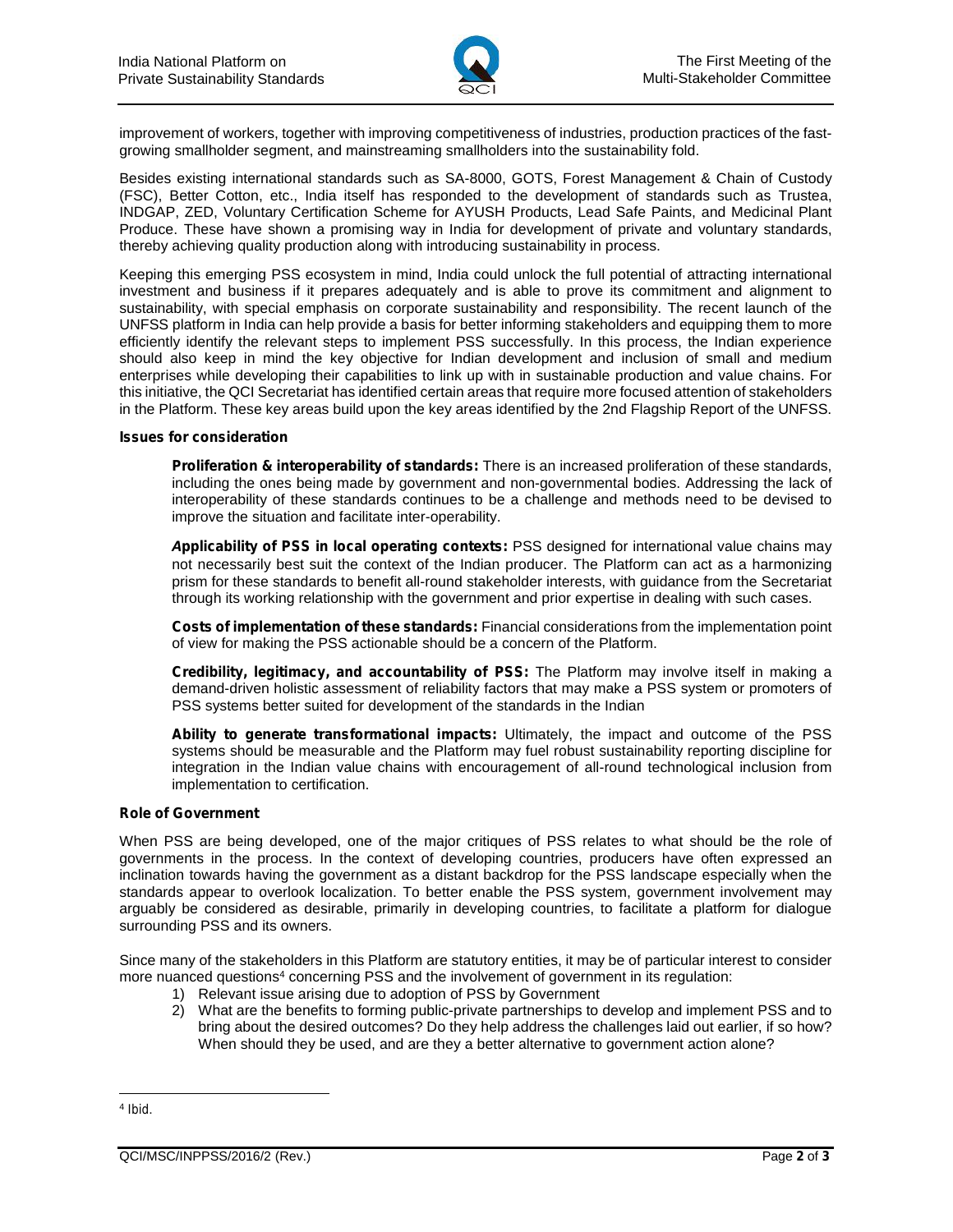

improvement of workers, together with improving competitiveness of industries, production practices of the fast growing smallholder segment, and mainstreaming smallholders into the sustainability fold.

Besides existing international standards such as SA-8000, GOTS, Forest Management & Chain of Custody (FSC), Better Cotton, etc., India itself has responded to the development of standards such as Trustea, INDGAP, ZED, Voluntary Certification Scheme for AYUSH Products, Lead Safe Paints, and Medicinal Plant Produce. These have shown a promising way in India for development of private and voluntary standards, thereby achieving quality production along with introducing sustainability in process.

Keeping this emerging PSS ecosystem in mind, India could unlock the full potential of attracting international investment and business if it prepares adequately and is able to prove its commitment and alignment to sustainability, with special emphasis on corporate sustainability and responsibility. The recent launch of the UNFSS platform in India can help provide a basis for better informing stakeholders and equipping them to more efficiently identify the relevant steps to implement PSS successfully. In this process, the Indian experience should also keep in mind the key objective for Indian development and inclusion of small and medium enterprises while developing their capabilities to link up with in sustainable production and value chains. For this initiative, the QCI Secretariat has identified certain areas that require more focused attention of stakeholders in the Platform. These key areas build upon the key areas identified by the 2nd Flagship Report of the UNFSS.

#### **Issues for consideration**

*Proliferation & interoperability of standards:* There is an increased proliferation of these standards, including the ones being made by government and non-governmental bodies. Addressing the lack of interoperability of these standards continues to be a challenge and methods need to be devised to improve the situation and facilitate inter-operability.

*Applicability of PSS in local operating contexts:* PSS designed for international value chains may not necessarily best suit the context of the Indian producer. The Platform can act as a harmonizing prism for these standards to benefit all-round stakeholder interests, with guidance from the Secretariat through its working relationship with the government and prior expertise in dealing with such cases.

*Costs of implementation of these standards:* Financial considerations from the implementation point of view for making the PSS actionable should be a concern of the Platform.

*Credibility, legitimacy, and accountability of PSS:* The Platform may involve itself in making a demand-driven holistic assessment of reliability factors that may make a PSS system or promoters of PSS systems better suited for development of the standards in the Indian

*Ability to generate transformational impacts:* Ultimately, the impact and outcome of the PSS systems should be measurable and the Platform may fuel robust sustainability reporting discipline for integration in the Indian value chains with encouragement of all-round technological inclusion from implementation to certification.

## **Role of Government**

When PSS are being developed, one of the major critiques of PSS relates to what should be the role of governments in the process. In the context of developing countries, producers have often expressed an inclination towards having the government as a distant backdrop for the PSS landscape especially when the standards appear to overlook localization. To better enable the PSS system, government involvement may arguably be considered as desirable, primarily in developing countries, to facilitate a platform for dialogue surrounding PSS and its owners.

Since many of the stakeholders in this Platform are statutory entities, it may be of particular interest to consider more nuanced questions<sup>4</sup> concerning PSS and the involvement of government in its regulation:

- 1) Relevant issue arising due to adoption of PSS by Government
- 2) What are the benefits to forming public-private partnerships to develop and implement PSS and to bring about the desired outcomes? Do they help address the challenges laid out earlier, if so how? When should they be used, and are they a better alternative to government action alone?

<sup>4</sup> *Ibid*.